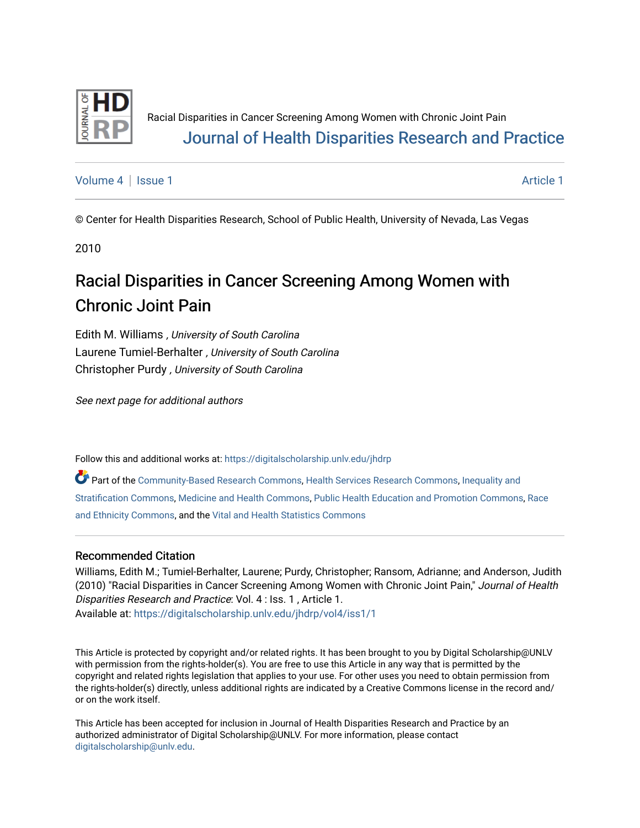

# Racial Disparities in Cancer Screening Among Women with Chronic Joint Pain [Journal of Health Disparities Research and Practice](https://digitalscholarship.unlv.edu/jhdrp)

[Volume 4](https://digitalscholarship.unlv.edu/jhdrp/vol4) | [Issue 1](https://digitalscholarship.unlv.edu/jhdrp/vol4/iss1) [Article 1](https://digitalscholarship.unlv.edu/jhdrp/vol4/iss1/1) Article 1 Article 1 Article 1 Article 1 Article 1 Article 1 Article 1 Article 1 A

© Center for Health Disparities Research, School of Public Health, University of Nevada, Las Vegas

2010

# Racial Disparities in Cancer Screening Among Women with Chronic Joint Pain

Edith M. Williams , University of South Carolina Laurene Tumiel-Berhalter , University of South Carolina Christopher Purdy , University of South Carolina

See next page for additional authors

Follow this and additional works at: [https://digitalscholarship.unlv.edu/jhdrp](https://digitalscholarship.unlv.edu/jhdrp?utm_source=digitalscholarship.unlv.edu%2Fjhdrp%2Fvol4%2Fiss1%2F1&utm_medium=PDF&utm_campaign=PDFCoverPages) 

Part of the [Community-Based Research Commons,](http://network.bepress.com/hgg/discipline/1047?utm_source=digitalscholarship.unlv.edu%2Fjhdrp%2Fvol4%2Fiss1%2F1&utm_medium=PDF&utm_campaign=PDFCoverPages) [Health Services Research Commons](http://network.bepress.com/hgg/discipline/816?utm_source=digitalscholarship.unlv.edu%2Fjhdrp%2Fvol4%2Fiss1%2F1&utm_medium=PDF&utm_campaign=PDFCoverPages), [Inequality and](http://network.bepress.com/hgg/discipline/421?utm_source=digitalscholarship.unlv.edu%2Fjhdrp%2Fvol4%2Fiss1%2F1&utm_medium=PDF&utm_campaign=PDFCoverPages) [Stratification Commons,](http://network.bepress.com/hgg/discipline/421?utm_source=digitalscholarship.unlv.edu%2Fjhdrp%2Fvol4%2Fiss1%2F1&utm_medium=PDF&utm_campaign=PDFCoverPages) [Medicine and Health Commons,](http://network.bepress.com/hgg/discipline/422?utm_source=digitalscholarship.unlv.edu%2Fjhdrp%2Fvol4%2Fiss1%2F1&utm_medium=PDF&utm_campaign=PDFCoverPages) [Public Health Education and Promotion Commons,](http://network.bepress.com/hgg/discipline/743?utm_source=digitalscholarship.unlv.edu%2Fjhdrp%2Fvol4%2Fiss1%2F1&utm_medium=PDF&utm_campaign=PDFCoverPages) [Race](http://network.bepress.com/hgg/discipline/426?utm_source=digitalscholarship.unlv.edu%2Fjhdrp%2Fvol4%2Fiss1%2F1&utm_medium=PDF&utm_campaign=PDFCoverPages)  [and Ethnicity Commons](http://network.bepress.com/hgg/discipline/426?utm_source=digitalscholarship.unlv.edu%2Fjhdrp%2Fvol4%2Fiss1%2F1&utm_medium=PDF&utm_campaign=PDFCoverPages), and the [Vital and Health Statistics Commons](http://network.bepress.com/hgg/discipline/826?utm_source=digitalscholarship.unlv.edu%2Fjhdrp%2Fvol4%2Fiss1%2F1&utm_medium=PDF&utm_campaign=PDFCoverPages) 

#### Recommended Citation

Williams, Edith M.; Tumiel-Berhalter, Laurene; Purdy, Christopher; Ransom, Adrianne; and Anderson, Judith (2010) "Racial Disparities in Cancer Screening Among Women with Chronic Joint Pain," Journal of Health Disparities Research and Practice: Vol. 4 : Iss. 1 , Article 1. Available at: [https://digitalscholarship.unlv.edu/jhdrp/vol4/iss1/1](https://digitalscholarship.unlv.edu/jhdrp/vol4/iss1/1?utm_source=digitalscholarship.unlv.edu%2Fjhdrp%2Fvol4%2Fiss1%2F1&utm_medium=PDF&utm_campaign=PDFCoverPages)

This Article is protected by copyright and/or related rights. It has been brought to you by Digital Scholarship@UNLV with permission from the rights-holder(s). You are free to use this Article in any way that is permitted by the copyright and related rights legislation that applies to your use. For other uses you need to obtain permission from the rights-holder(s) directly, unless additional rights are indicated by a Creative Commons license in the record and/ or on the work itself.

This Article has been accepted for inclusion in Journal of Health Disparities Research and Practice by an authorized administrator of Digital Scholarship@UNLV. For more information, please contact [digitalscholarship@unlv.edu](mailto:digitalscholarship@unlv.edu).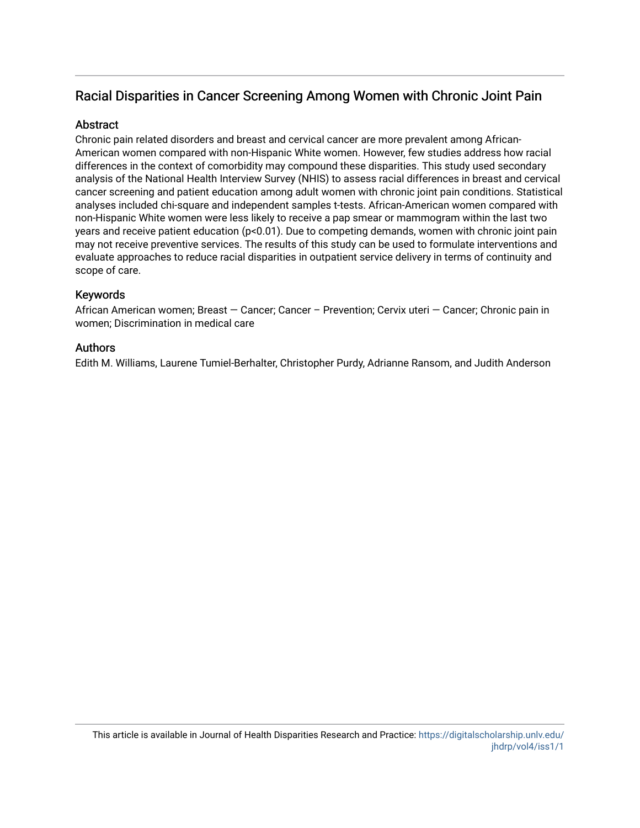### Racial Disparities in Cancer Screening Among Women with Chronic Joint Pain

#### **Abstract**

Chronic pain related disorders and breast and cervical cancer are more prevalent among African-American women compared with non-Hispanic White women. However, few studies address how racial differences in the context of comorbidity may compound these disparities. This study used secondary analysis of the National Health Interview Survey (NHIS) to assess racial differences in breast and cervical cancer screening and patient education among adult women with chronic joint pain conditions. Statistical analyses included chi-square and independent samples t-tests. African-American women compared with non-Hispanic White women were less likely to receive a pap smear or mammogram within the last two years and receive patient education (p<0.01). Due to competing demands, women with chronic joint pain may not receive preventive services. The results of this study can be used to formulate interventions and evaluate approaches to reduce racial disparities in outpatient service delivery in terms of continuity and scope of care.

#### Keywords

African American women; Breast — Cancer; Cancer – Prevention; Cervix uteri — Cancer; Chronic pain in women; Discrimination in medical care

#### Authors

Edith M. Williams, Laurene Tumiel-Berhalter, Christopher Purdy, Adrianne Ransom, and Judith Anderson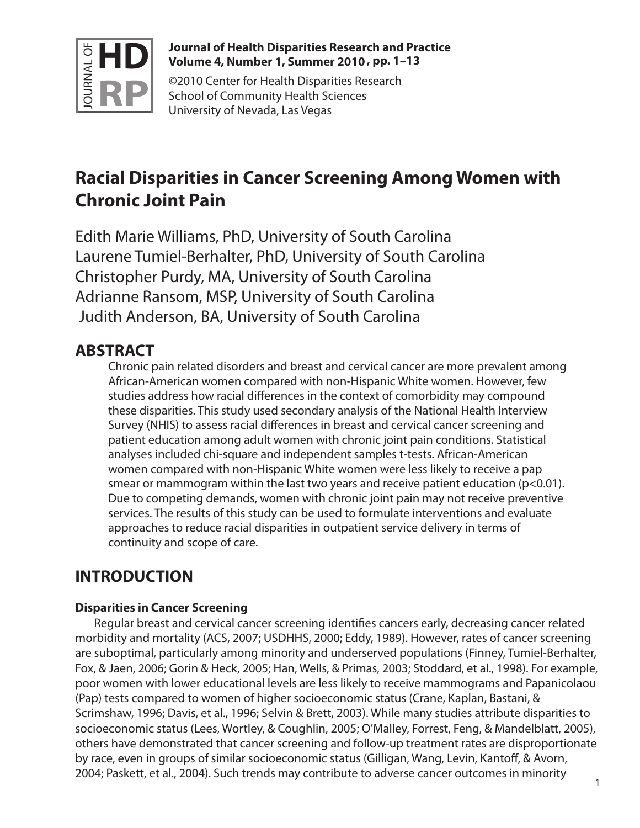

#### **Journal of Health Disparities Research and Practice Volume 4, Number 1, Summer 2010 , pp. 1–13**

©2010 Center for Health Disparities Research School of Community Health Sciences University of Nevada, Las Vegas

# **Racial Disparities in Cancer Screening Among Women with Chronic Joint Pain**

Edith Marie Williams, PhD, University of South Carolina Laurene Tumiel-Berhalter, PhD, University of South Carolina Christopher Purdy, MA, University of South Carolina Adrianne Ransom, MSP, University of South Carolina Judith Anderson, BA, University of South Carolina

# **ABSTRACT**

Chronic pain related disorders and breast and cervical cancer are more prevalent among African-American women compared with non-Hispanic White women. However, few studies address how racial differences in the context of comorbidity may compound these disparities. This study used secondary analysis of the National Health Interview Survey (NHIS) to assess racial differences in breast and cervical cancer screening and patient education among adult women with chronic joint pain conditions. Statistical analyses included chi-square and independent samples t-tests. African-American women compared with non-Hispanic White women were less likely to receive a pap smear or mammogram within the last two years and receive patient education  $(p<0.01)$ . Due to competing demands, women with chronic joint pain may not receive preventive services. The results of this study can be used to formulate interventions and evaluate approaches to reduce racial disparities in outpatient service delivery in terms of continuity and scope of care.

# **INTRODUCTION**

### **Disparities in Cancer Screening**

Regular breast and cervical cancer screening identifies cancers early, decreasing cancer related morbidity and mortality (ACS, 2007; USDHHS, 2000; Eddy, 1989). However, rates of cancer screening are suboptimal, particularly among minority and underserved populations (Finney, Tumiel-Berhalter, Fox, & Jaen, 2006; Gorin & Heck, 2005; Han, Wells, & Primas, 2003; Stoddard, et al., 1998). For example, poor women with lower educational levels are less likely to receive mammograms and Papanicolaou (Pap) tests compared to women of higher socioeconomic status (Crane, Kaplan, Bastani, & Scrimshaw, 1996; Davis, et al., 1996; Selvin & Brett, 2003). While many studies attribute disparities to socioeconomic status (Lees, Wortley, & Coughlin, 2005; O'Malley, Forrest, Feng, & Mandelblatt, 2005), others have demonstrated that cancer screening and follow-up treatment rates are disproportionate by race, even in groups of similar socioeconomic status (Gilligan, Wang, Levin, Kantoff, & Avorn, 2004; Paskett, et al., 2004). Such trends may contribute to adverse cancer outcomes in minority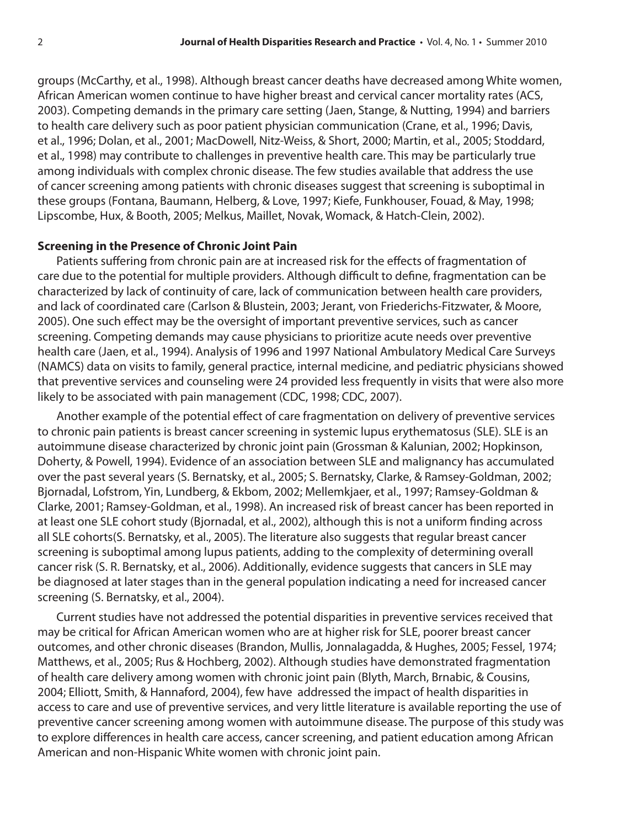groups (McCarthy, et al., 1998). Although breast cancer deaths have decreased among White women, African American women continue to have higher breast and cervical cancer mortality rates (ACS, 2003). Competing demands in the primary care setting (Jaen, Stange, & Nutting, 1994) and barriers to health care delivery such as poor patient physician communication (Crane, et al., 1996; Davis, et al., 1996; Dolan, et al., 2001; MacDowell, Nitz-Weiss, & Short, 2000; Martin, et al., 2005; Stoddard, et al., 1998) may contribute to challenges in preventive health care. This may be particularly true among individuals with complex chronic disease. The few studies available that address the use of cancer screening among patients with chronic diseases suggest that screening is suboptimal in these groups (Fontana, Baumann, Helberg, & Love, 1997; Kiefe, Funkhouser, Fouad, & May, 1998; Lipscombe, Hux, & Booth, 2005; Melkus, Maillet, Novak, Womack, & Hatch-Clein, 2002).

#### **Screening in the Presence of Chronic Joint Pain**

Patients suffering from chronic pain are at increased risk for the effects of fragmentation of care due to the potential for multiple providers. Although difficult to define, fragmentation can be characterized by lack of continuity of care, lack of communication between health care providers, and lack of coordinated care (Carlson & Blustein, 2003; Jerant, von Friederichs-Fitzwater, & Moore, 2005). One such effect may be the oversight of important preventive services, such as cancer screening. Competing demands may cause physicians to prioritize acute needs over preventive health care (Jaen, et al., 1994). Analysis of 1996 and 1997 National Ambulatory Medical Care Surveys (NAMCS) data on visits to family, general practice, internal medicine, and pediatric physicians showed that preventive services and counseling were 24 provided less frequently in visits that were also more likely to be associated with pain management (CDC, 1998; CDC, 2007).

Another example of the potential effect of care fragmentation on delivery of preventive services to chronic pain patients is breast cancer screening in systemic lupus erythematosus (SLE). SLE is an autoimmune disease characterized by chronic joint pain (Grossman & Kalunian, 2002; Hopkinson, Doherty, & Powell, 1994). Evidence of an association between SLE and malignancy has accumulated over the past several years (S. Bernatsky, et al., 2005; S. Bernatsky, Clarke, & Ramsey-Goldman, 2002; Bjornadal, Lofstrom, Yin, Lundberg, & Ekbom, 2002; Mellemkjaer, et al., 1997; Ramsey-Goldman & Clarke, 2001; Ramsey-Goldman, et al., 1998). An increased risk of breast cancer has been reported in at least one SLE cohort study (Bjornadal, et al., 2002), although this is not a uniform finding across all SLE cohorts(S. Bernatsky, et al., 2005). The literature also suggests that regular breast cancer screening is suboptimal among lupus patients, adding to the complexity of determining overall cancer risk (S. R. Bernatsky, et al., 2006). Additionally, evidence suggests that cancers in SLE may be diagnosed at later stages than in the general population indicating a need for increased cancer screening (S. Bernatsky, et al., 2004).

Current studies have not addressed the potential disparities in preventive services received that may be critical for African American women who are at higher risk for SLE, poorer breast cancer outcomes, and other chronic diseases (Brandon, Mullis, Jonnalagadda, & Hughes, 2005; Fessel, 1974; Matthews, et al., 2005; Rus & Hochberg, 2002). Although studies have demonstrated fragmentation of health care delivery among women with chronic joint pain (Blyth, March, Brnabic, & Cousins, 2004; Elliott, Smith, & Hannaford, 2004), few have addressed the impact of health disparities in access to care and use of preventive services, and very little literature is available reporting the use of preventive cancer screening among women with autoimmune disease. The purpose of this study was to explore differences in health care access, cancer screening, and patient education among African American and non-Hispanic White women with chronic joint pain.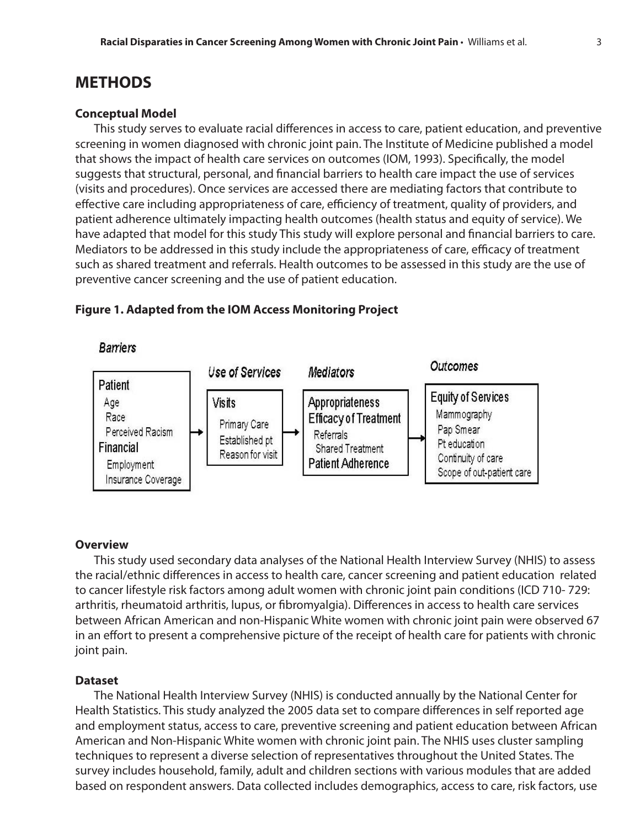### **METHODS**

#### **Conceptual Model**

This study serves to evaluate racial differences in access to care, patient education, and preventive screening in women diagnosed with chronic joint pain. The Institute of Medicine published a model that shows the impact of health care services on outcomes (IOM, 1993). Specifically, the model suggests that structural, personal, and financial barriers to health care impact the use of services (visits and procedures). Once services are accessed there are mediating factors that contribute to effective care including appropriateness of care, efficiency of treatment, quality of providers, and patient adherence ultimately impacting health outcomes (health status and equity of service). We have adapted that model for this study This study will explore personal and financial barriers to care. Mediators to be addressed in this study include the appropriateness of care, efficacy of treatment such as shared treatment and referrals. Health outcomes to be assessed in this study are the use of preventive cancer screening and the use of patient education.

#### **Figure 1. Adapted from the IOM Access Monitoring Project**



#### **Overview**

This study used secondary data analyses of the National Health Interview Survey (NHIS) to assess the racial/ethnic differences in access to health care, cancer screening and patient education related to cancer lifestyle risk factors among adult women with chronic joint pain conditions (ICD 710- 729: arthritis, rheumatoid arthritis, lupus, or fibromyalgia). Differences in access to health care services between African American and non-Hispanic White women with chronic joint pain were observed 67 in an effort to present a comprehensive picture of the receipt of health care for patients with chronic joint pain.

#### **Dataset**

The National Health Interview Survey (NHIS) is conducted annually by the National Center for Health Statistics. This study analyzed the 2005 data set to compare differences in self reported age and employment status, access to care, preventive screening and patient education between African American and Non-Hispanic White women with chronic joint pain. The NHIS uses cluster sampling techniques to represent a diverse selection of representatives throughout the United States. The survey includes household, family, adult and children sections with various modules that are added based on respondent answers. Data collected includes demographics, access to care, risk factors, use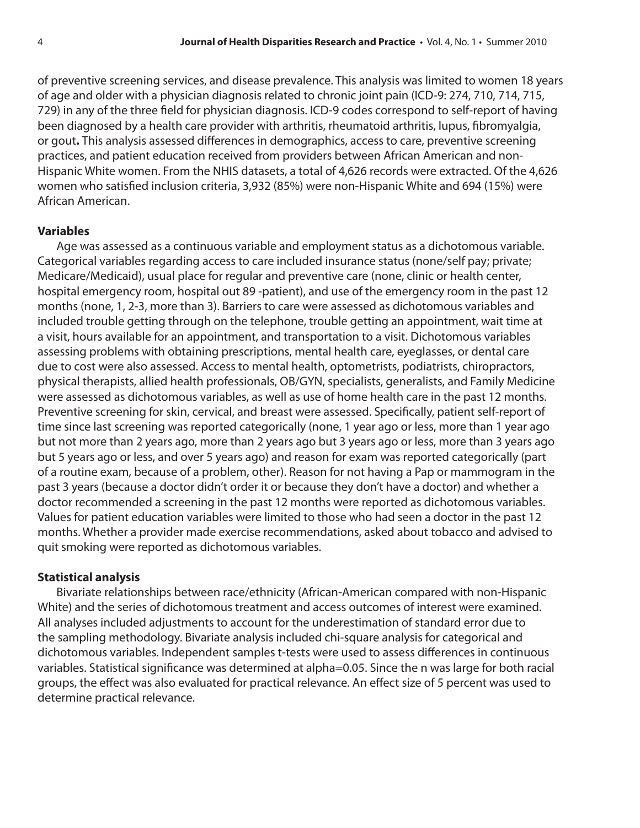of preventive screening services, and disease prevalence. This analysis was limited to women 18 years of age and older with a physician diagnosis related to chronic joint pain (ICD-9: 274, 710, 714, 715, 729) in any of the three field for physician diagnosis. ICD-9 codes correspond to self-report of having been diagnosed by a health care provider with arthritis, rheumatoid arthritis, lupus, fibromyalgia, or gout**.** This analysis assessed differences in demographics, access to care, preventive screening practices, and patient education received from providers between African American and non-Hispanic White women. From the NHIS datasets, a total of 4,626 records were extracted. Of the 4,626 women who satisfied inclusion criteria, 3,932 (85%) were non-Hispanic White and 694 (15%) were African American.

#### **Variables**

Age was assessed as a continuous variable and employment status as a dichotomous variable. Categorical variables regarding access to care included insurance status (none/self pay; private; Medicare/Medicaid), usual place for regular and preventive care (none, clinic or health center, hospital emergency room, hospital out 89 -patient), and use of the emergency room in the past 12 months (none, 1, 2-3, more than 3). Barriers to care were assessed as dichotomous variables and included trouble getting through on the telephone, trouble getting an appointment, wait time at a visit, hours available for an appointment, and transportation to a visit. Dichotomous variables assessing problems with obtaining prescriptions, mental health care, eyeglasses, or dental care due to cost were also assessed. Access to mental health, optometrists, podiatrists, chiropractors, physical therapists, allied health professionals, OB/GYN, specialists, generalists, and Family Medicine were assessed as dichotomous variables, as well as use of home health care in the past 12 months. Preventive screening for skin, cervical, and breast were assessed. Specifically, patient self-report of time since last screening was reported categorically (none, 1 year ago or less, more than 1 year ago but not more than 2 years ago, more than 2 years ago but 3 years ago or less, more than 3 years ago but 5 years ago or less, and over 5 years ago) and reason for exam was reported categorically (part of a routine exam, because of a problem, other). Reason for not having a Pap or mammogram in the past 3 years (because a doctor didn't order it or because they don't have a doctor) and whether a doctor recommended a screening in the past 12 months were reported as dichotomous variables. Values for patient education variables were limited to those who had seen a doctor in the past 12 months. Whether a provider made exercise recommendations, asked about tobacco and advised to quit smoking were reported as dichotomous variables.

#### **Statistical analysis**

Bivariate relationships between race/ethnicity (African-American compared with non-Hispanic White) and the series of dichotomous treatment and access outcomes of interest were examined. All analyses included adjustments to account for the underestimation of standard error due to the sampling methodology. Bivariate analysis included chi-square analysis for categorical and dichotomous variables. Independent samples t-tests were used to assess differences in continuous variables. Statistical significance was determined at alpha=0.05. Since the n was large for both racial groups, the effect was also evaluated for practical relevance. An effect size of 5 percent was used to determine practical relevance.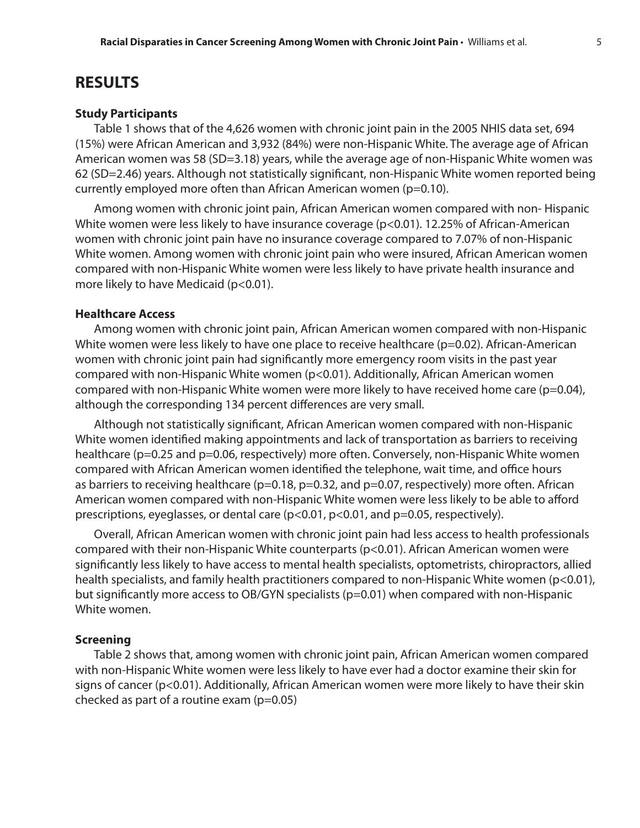### **RESULTS**

#### **Study Participants**

Table 1 shows that of the 4,626 women with chronic joint pain in the 2005 NHIS data set, 694 (15%) were African American and 3,932 (84%) were non-Hispanic White. The average age of African American women was 58 (SD=3.18) years, while the average age of non-Hispanic White women was 62 (SD=2.46) years. Although not statistically significant, non-Hispanic White women reported being currently employed more often than African American women (p=0.10).

Among women with chronic joint pain, African American women compared with non- Hispanic White women were less likely to have insurance coverage (p<0.01). 12.25% of African-American women with chronic joint pain have no insurance coverage compared to 7.07% of non-Hispanic White women. Among women with chronic joint pain who were insured, African American women compared with non-Hispanic White women were less likely to have private health insurance and more likely to have Medicaid (p<0.01).

#### **Healthcare Access**

Among women with chronic joint pain, African American women compared with non-Hispanic White women were less likely to have one place to receive healthcare (p=0.02). African-American women with chronic joint pain had significantly more emergency room visits in the past year compared with non-Hispanic White women (p<0.01). Additionally, African American women compared with non-Hispanic White women were more likely to have received home care (p=0.04), although the corresponding 134 percent differences are very small.

Although not statistically significant, African American women compared with non-Hispanic White women identified making appointments and lack of transportation as barriers to receiving healthcare (p=0.25 and p=0.06, respectively) more often. Conversely, non-Hispanic White women compared with African American women identified the telephone, wait time, and office hours as barriers to receiving healthcare (p=0.18, p=0.32, and p=0.07, respectively) more often. African American women compared with non-Hispanic White women were less likely to be able to afford prescriptions, eyeglasses, or dental care (p<0.01, p<0.01, and p=0.05, respectively).

Overall, African American women with chronic joint pain had less access to health professionals compared with their non-Hispanic White counterparts (p<0.01). African American women were significantly less likely to have access to mental health specialists, optometrists, chiropractors, allied health specialists, and family health practitioners compared to non-Hispanic White women (p<0.01), but significantly more access to OB/GYN specialists (p=0.01) when compared with non-Hispanic White women.

#### **Screening**

Table 2 shows that, among women with chronic joint pain, African American women compared with non-Hispanic White women were less likely to have ever had a doctor examine their skin for signs of cancer (p<0.01). Additionally, African American women were more likely to have their skin checked as part of a routine exam  $(p=0.05)$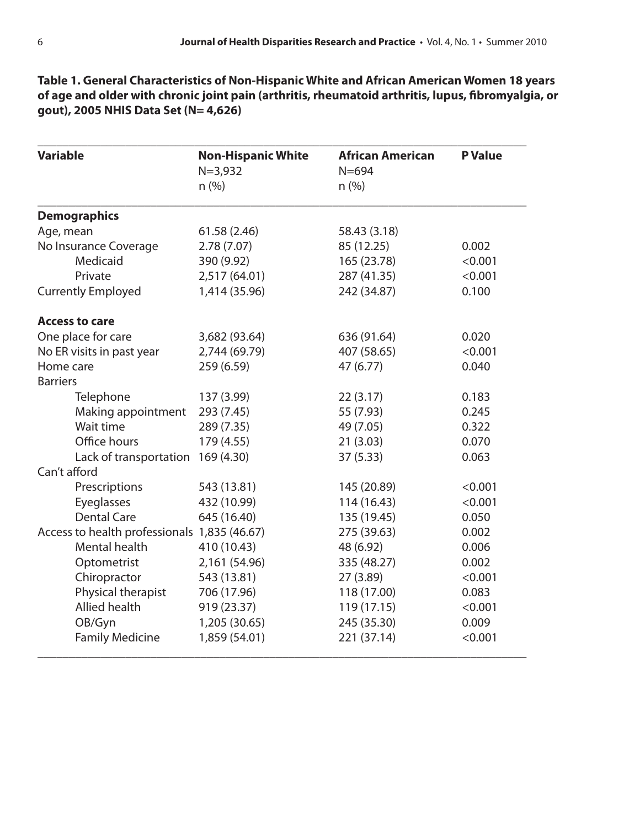**Table 1. General Characteristics of Non-Hispanic White and African American Women 18 years of age and older with chronic joint pain (arthritis, rheumatoid arthritis, lupus, fibromyalgia, or gout), 2005 NHIS Data Set (N= 4,626)**

| <b>Variable</b>                              | <b>Non-Hispanic White</b><br>$N = 3,932$ | <b>African American</b><br>$N = 694$ | <b>P</b> Value |
|----------------------------------------------|------------------------------------------|--------------------------------------|----------------|
|                                              | n (%)                                    | n (%)                                |                |
| <b>Demographics</b>                          |                                          |                                      |                |
| Age, mean                                    | 61.58 (2.46)                             | 58.43 (3.18)                         |                |
| No Insurance Coverage                        | 2.78(7.07)                               | 85 (12.25)                           | 0.002          |
| Medicaid                                     | 390 (9.92)                               | 165 (23.78)                          | < 0.001        |
| Private                                      | 2,517 (64.01)                            | 287 (41.35)                          | < 0.001        |
| <b>Currently Employed</b>                    | 1,414 (35.96)                            | 242 (34.87)                          | 0.100          |
| <b>Access to care</b>                        |                                          |                                      |                |
| One place for care                           | 3,682 (93.64)                            | 636 (91.64)                          | 0.020          |
| No ER visits in past year                    | 2,744 (69.79)                            | 407 (58.65)                          | < 0.001        |
| Home care                                    | 259 (6.59)                               | 47 (6.77)                            | 0.040          |
| <b>Barriers</b>                              |                                          |                                      |                |
| Telephone                                    | 137 (3.99)                               | 22(3.17)                             | 0.183          |
| Making appointment                           | 293 (7.45)                               | 55 (7.93)                            | 0.245          |
| Wait time                                    | 289 (7.35)                               | 49 (7.05)                            | 0.322          |
| Office hours                                 | 179 (4.55)                               | 21(3.03)                             | 0.070          |
| Lack of transportation 169 (4.30)            |                                          | 37 (5.33)                            | 0.063          |
| Can't afford                                 |                                          |                                      |                |
| Prescriptions                                | 543 (13.81)                              | 145 (20.89)                          | < 0.001        |
| Eyeglasses                                   | 432 (10.99)                              | 114 (16.43)                          | < 0.001        |
| <b>Dental Care</b>                           | 645 (16.40)                              | 135 (19.45)                          | 0.050          |
| Access to health professionals 1,835 (46.67) |                                          | 275 (39.63)                          | 0.002          |
| Mental health                                | 410 (10.43)                              | 48 (6.92)                            | 0.006          |
| Optometrist                                  | 2,161 (54.96)                            | 335 (48.27)                          | 0.002          |
| Chiropractor                                 | 543 (13.81)                              | 27 (3.89)                            | < 0.001        |
| Physical therapist                           | 706 (17.96)                              | 118 (17.00)                          | 0.083          |
| <b>Allied health</b>                         | 919 (23.37)                              | 119 (17.15)                          | < 0.001        |
| OB/Gyn                                       | 1,205 (30.65)                            | 245 (35.30)                          | 0.009          |
| <b>Family Medicine</b>                       | 1,859 (54.01)                            | 221 (37.14)                          | < 0.001        |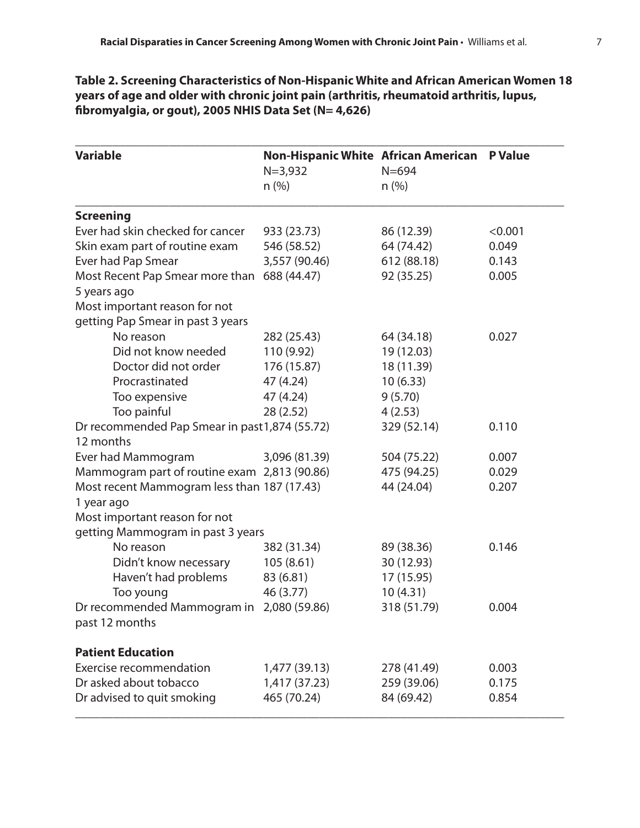**Table 2. Screening Characteristics of Non-Hispanic White and African American Women 18 years of age and older with chronic joint pain (arthritis, rheumatoid arthritis, lupus, fibromyalgia, or gout), 2005 NHIS Data Set (N= 4,626)**

| <b>Variable</b>                                | <b>Non-Hispanic White African American</b> |             | <b>P</b> Value |  |  |
|------------------------------------------------|--------------------------------------------|-------------|----------------|--|--|
|                                                | $N = 3,932$                                | $N = 694$   |                |  |  |
|                                                | $n$ (%)                                    | n (%)       |                |  |  |
| <b>Screening</b>                               |                                            |             |                |  |  |
| Ever had skin checked for cancer               | 933 (23.73)                                | 86 (12.39)  | < 0.001        |  |  |
| Skin exam part of routine exam                 | 546 (58.52)                                | 64 (74.42)  | 0.049          |  |  |
| Ever had Pap Smear                             | 3,557 (90.46)                              | 612 (88.18) | 0.143          |  |  |
| Most Recent Pap Smear more than                | 688 (44.47)                                | 92 (35.25)  | 0.005          |  |  |
| 5 years ago                                    |                                            |             |                |  |  |
| Most important reason for not                  |                                            |             |                |  |  |
| getting Pap Smear in past 3 years              |                                            |             |                |  |  |
| No reason                                      | 282 (25.43)                                | 64 (34.18)  | 0.027          |  |  |
| Did not know needed                            | 110 (9.92)                                 | 19 (12.03)  |                |  |  |
| Doctor did not order                           | 176 (15.87)                                | 18 (11.39)  |                |  |  |
| Procrastinated                                 | 47 (4.24)                                  | 10(6.33)    |                |  |  |
| Too expensive                                  | 47 (4.24)                                  | 9(5.70)     |                |  |  |
| Too painful                                    | 28(2.52)                                   | 4(2.53)     |                |  |  |
| Dr recommended Pap Smear in past 1,874 (55.72) |                                            | 329 (52.14) | 0.110          |  |  |
| 12 months                                      |                                            |             |                |  |  |
| Ever had Mammogram                             | 3,096 (81.39)                              | 504 (75.22) | 0.007          |  |  |
| Mammogram part of routine exam 2,813 (90.86)   |                                            | 475 (94.25) | 0.029          |  |  |
| Most recent Mammogram less than 187 (17.43)    |                                            | 44 (24.04)  | 0.207          |  |  |
| 1 year ago                                     |                                            |             |                |  |  |
| Most important reason for not                  |                                            |             |                |  |  |
| getting Mammogram in past 3 years              |                                            |             |                |  |  |
| No reason                                      | 382 (31.34)                                | 89 (38.36)  | 0.146          |  |  |
| Didn't know necessary                          | 105(8.61)                                  | 30 (12.93)  |                |  |  |
| Haven't had problems                           | 83 (6.81)                                  | 17 (15.95)  |                |  |  |
| Too young                                      | 46 (3.77)                                  | 10(4.31)    |                |  |  |
| Dr recommended Mammogram in 2,080 (59.86)      |                                            | 318 (51.79) | 0.004          |  |  |
| past 12 months                                 |                                            |             |                |  |  |
| <b>Patient Education</b>                       |                                            |             |                |  |  |
| <b>Exercise recommendation</b>                 | 1,477 (39.13)                              | 278 (41.49) | 0.003          |  |  |
| Dr asked about tobacco                         | 1,417 (37.23)                              | 259 (39.06) | 0.175          |  |  |
| Dr advised to quit smoking                     | 465 (70.24)                                | 84 (69.42)  | 0.854          |  |  |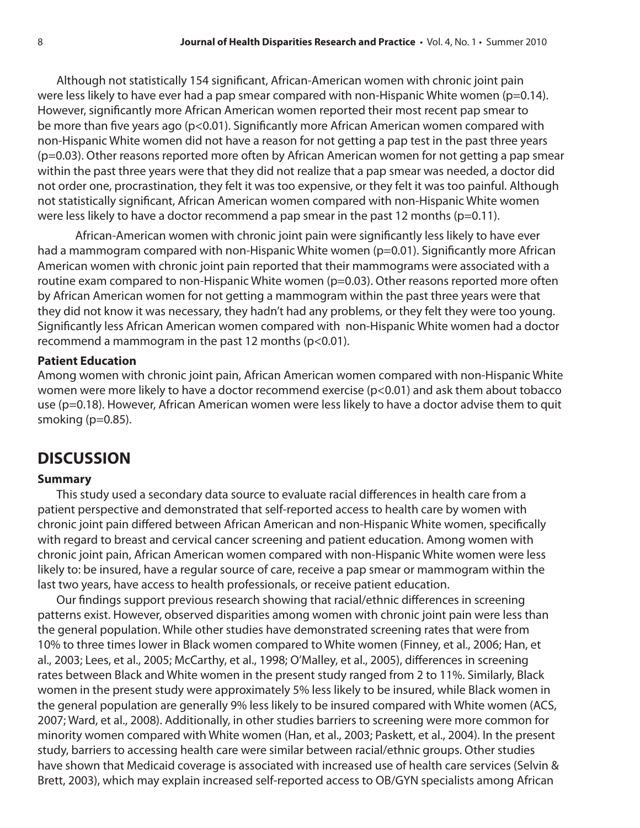Although not statistically 154 significant, African-American women with chronic joint pain were less likely to have ever had a pap smear compared with non-Hispanic White women ( $p=0.14$ ). However, significantly more African American women reported their most recent pap smear to be more than five years ago (p<0.01). Significantly more African American women compared with non-Hispanic White women did not have a reason for not getting a pap test in the past three years (p=0.03). Other reasons reported more often by African American women for not getting a pap smear within the past three years were that they did not realize that a pap smear was needed, a doctor did not order one, procrastination, they felt it was too expensive, or they felt it was too painful. Although not statistically significant, African American women compared with non-Hispanic White women were less likely to have a doctor recommend a pap smear in the past 12 months (p=0.11).

African-American women with chronic joint pain were significantly less likely to have ever had a mammogram compared with non-Hispanic White women (p=0.01). Significantly more African American women with chronic joint pain reported that their mammograms were associated with a routine exam compared to non-Hispanic White women (p=0.03). Other reasons reported more often by African American women for not getting a mammogram within the past three years were that they did not know it was necessary, they hadn't had any problems, or they felt they were too young. Significantly less African American women compared with non-Hispanic White women had a doctor recommend a mammogram in the past 12 months ( $p$ <0.01).

#### **Patient Education**

Among women with chronic joint pain, African American women compared with non-Hispanic White women were more likely to have a doctor recommend exercise (p<0.01) and ask them about tobacco use (p=0.18). However, African American women were less likely to have a doctor advise them to quit smoking (p=0.85).

# **DISCUSSION**

#### **Summary**

This study used a secondary data source to evaluate racial differences in health care from a patient perspective and demonstrated that self-reported access to health care by women with chronic joint pain differed between African American and non-Hispanic White women, specifically with regard to breast and cervical cancer screening and patient education. Among women with chronic joint pain, African American women compared with non-Hispanic White women were less likely to: be insured, have a regular source of care, receive a pap smear or mammogram within the last two years, have access to health professionals, or receive patient education.

Our findings support previous research showing that racial/ethnic differences in screening patterns exist. However, observed disparities among women with chronic joint pain were less than the general population. While other studies have demonstrated screening rates that were from 10% to three times lower in Black women compared to White women (Finney, et al., 2006; Han, et al., 2003; Lees, et al., 2005; McCarthy, et al., 1998; O'Malley, et al., 2005), differences in screening rates between Black and White women in the present study ranged from 2 to 11%. Similarly, Black women in the present study were approximately 5% less likely to be insured, while Black women in the general population are generally 9% less likely to be insured compared with White women (ACS, 2007; Ward, et al., 2008). Additionally, in other studies barriers to screening were more common for minority women compared with White women (Han, et al., 2003; Paskett, et al., 2004). In the present study, barriers to accessing health care were similar between racial/ethnic groups. Other studies have shown that Medicaid coverage is associated with increased use of health care services (Selvin & Brett, 2003), which may explain increased self-reported access to OB/GYN specialists among African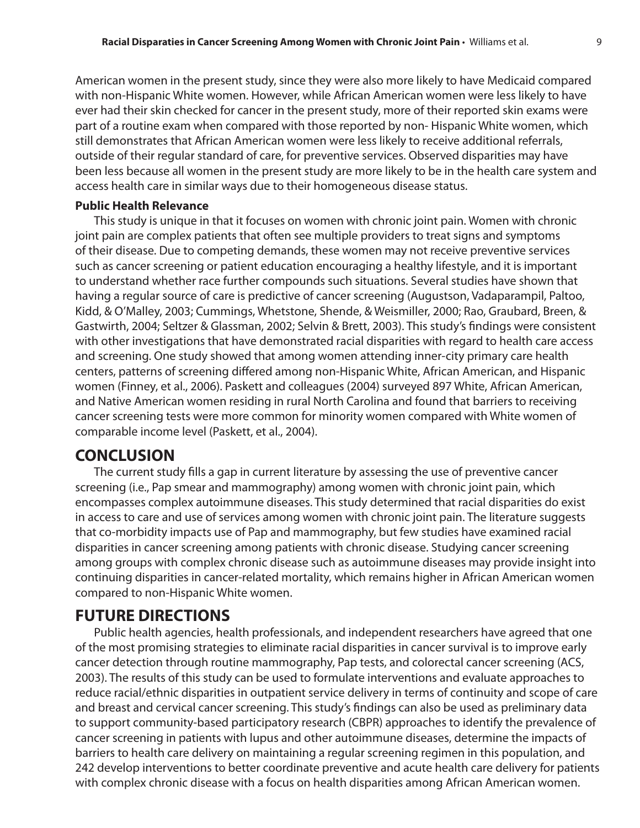American women in the present study, since they were also more likely to have Medicaid compared with non-Hispanic White women. However, while African American women were less likely to have ever had their skin checked for cancer in the present study, more of their reported skin exams were part of a routine exam when compared with those reported by non- Hispanic White women, which still demonstrates that African American women were less likely to receive additional referrals, outside of their regular standard of care, for preventive services. Observed disparities may have been less because all women in the present study are more likely to be in the health care system and access health care in similar ways due to their homogeneous disease status.

#### **Public Health Relevance**

This study is unique in that it focuses on women with chronic joint pain. Women with chronic joint pain are complex patients that often see multiple providers to treat signs and symptoms of their disease. Due to competing demands, these women may not receive preventive services such as cancer screening or patient education encouraging a healthy lifestyle, and it is important to understand whether race further compounds such situations. Several studies have shown that having a regular source of care is predictive of cancer screening (Augustson, Vadaparampil, Paltoo, Kidd, & O'Malley, 2003; Cummings, Whetstone, Shende, & Weismiller, 2000; Rao, Graubard, Breen, & Gastwirth, 2004; Seltzer & Glassman, 2002; Selvin & Brett, 2003). This study's findings were consistent with other investigations that have demonstrated racial disparities with regard to health care access and screening. One study showed that among women attending inner-city primary care health centers, patterns of screening differed among non-Hispanic White, African American, and Hispanic women (Finney, et al., 2006). Paskett and colleagues (2004) surveyed 897 White, African American, and Native American women residing in rural North Carolina and found that barriers to receiving cancer screening tests were more common for minority women compared with White women of comparable income level (Paskett, et al., 2004).

# **CONCLUSION**

The current study fills a gap in current literature by assessing the use of preventive cancer screening (i.e., Pap smear and mammography) among women with chronic joint pain, which encompasses complex autoimmune diseases. This study determined that racial disparities do exist in access to care and use of services among women with chronic joint pain. The literature suggests that co-morbidity impacts use of Pap and mammography, but few studies have examined racial disparities in cancer screening among patients with chronic disease. Studying cancer screening among groups with complex chronic disease such as autoimmune diseases may provide insight into continuing disparities in cancer-related mortality, which remains higher in African American women compared to non-Hispanic White women.

# **FUTURE DIRECTIONS**

Public health agencies, health professionals, and independent researchers have agreed that one of the most promising strategies to eliminate racial disparities in cancer survival is to improve early cancer detection through routine mammography, Pap tests, and colorectal cancer screening (ACS, 2003). The results of this study can be used to formulate interventions and evaluate approaches to reduce racial/ethnic disparities in outpatient service delivery in terms of continuity and scope of care and breast and cervical cancer screening. This study's findings can also be used as preliminary data to support community-based participatory research (CBPR) approaches to identify the prevalence of cancer screening in patients with lupus and other autoimmune diseases, determine the impacts of barriers to health care delivery on maintaining a regular screening regimen in this population, and 242 develop interventions to better coordinate preventive and acute health care delivery for patients with complex chronic disease with a focus on health disparities among African American women.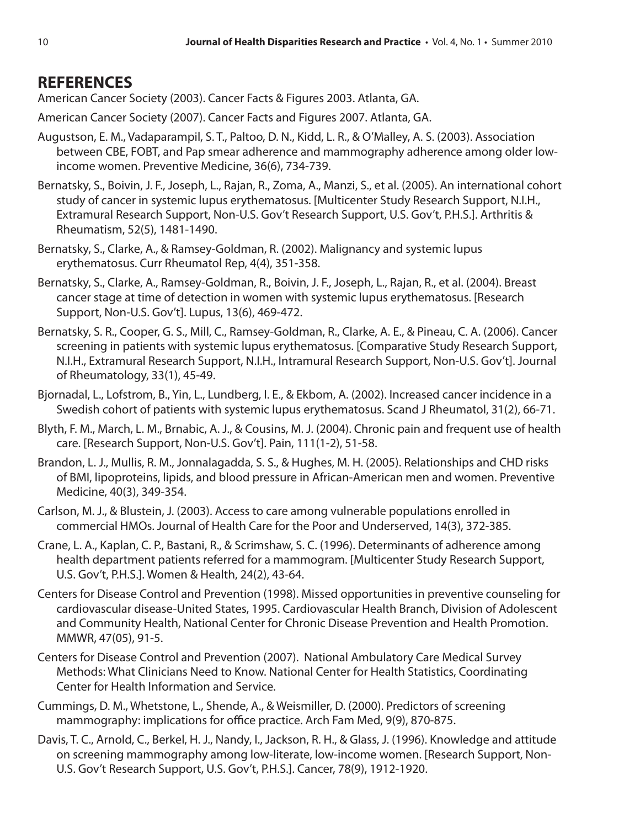# **REFERENCES**

American Cancer Society (2003). Cancer Facts & Figures 2003. Atlanta, GA.

American Cancer Society (2007). Cancer Facts and Figures 2007. Atlanta, GA.

- Augustson, E. M., Vadaparampil, S. T., Paltoo, D. N., Kidd, L. R., & O'Malley, A. S. (2003). Association between CBE, FOBT, and Pap smear adherence and mammography adherence among older lowincome women. Preventive Medicine, 36(6), 734-739.
- Bernatsky, S., Boivin, J. F., Joseph, L., Rajan, R., Zoma, A., Manzi, S., et al. (2005). An international cohort study of cancer in systemic lupus erythematosus. [Multicenter Study Research Support, N.I.H., Extramural Research Support, Non-U.S. Gov't Research Support, U.S. Gov't, P.H.S.]. Arthritis & Rheumatism, 52(5), 1481-1490.
- Bernatsky, S., Clarke, A., & Ramsey-Goldman, R. (2002). Malignancy and systemic lupus erythematosus. Curr Rheumatol Rep, 4(4), 351-358.
- Bernatsky, S., Clarke, A., Ramsey-Goldman, R., Boivin, J. F., Joseph, L., Rajan, R., et al. (2004). Breast cancer stage at time of detection in women with systemic lupus erythematosus. [Research Support, Non-U.S. Gov't]. Lupus, 13(6), 469-472.
- Bernatsky, S. R., Cooper, G. S., Mill, C., Ramsey-Goldman, R., Clarke, A. E., & Pineau, C. A. (2006). Cancer screening in patients with systemic lupus erythematosus. [Comparative Study Research Support, N.I.H., Extramural Research Support, N.I.H., Intramural Research Support, Non-U.S. Gov't]. Journal of Rheumatology, 33(1), 45-49.
- Bjornadal, L., Lofstrom, B., Yin, L., Lundberg, I. E., & Ekbom, A. (2002). Increased cancer incidence in a Swedish cohort of patients with systemic lupus erythematosus. Scand J Rheumatol, 31(2), 66-71.
- Blyth, F. M., March, L. M., Brnabic, A. J., & Cousins, M. J. (2004). Chronic pain and frequent use of health care. [Research Support, Non-U.S. Gov't]. Pain, 111(1-2), 51-58.
- Brandon, L. J., Mullis, R. M., Jonnalagadda, S. S., & Hughes, M. H. (2005). Relationships and CHD risks of BMI, lipoproteins, lipids, and blood pressure in African-American men and women. Preventive Medicine, 40(3), 349-354.
- Carlson, M. J., & Blustein, J. (2003). Access to care among vulnerable populations enrolled in commercial HMOs. Journal of Health Care for the Poor and Underserved, 14(3), 372-385.
- Crane, L. A., Kaplan, C. P., Bastani, R., & Scrimshaw, S. C. (1996). Determinants of adherence among health department patients referred for a mammogram. [Multicenter Study Research Support, U.S. Gov't, P.H.S.]. Women & Health, 24(2), 43-64.
- Centers for Disease Control and Prevention (1998). Missed opportunities in preventive counseling for cardiovascular disease-United States, 1995. Cardiovascular Health Branch, Division of Adolescent and Community Health, National Center for Chronic Disease Prevention and Health Promotion. MMWR, 47(05), 91-5.
- Centers for Disease Control and Prevention (2007). National Ambulatory Care Medical Survey Methods: What Clinicians Need to Know. National Center for Health Statistics, Coordinating Center for Health Information and Service.
- Cummings, D. M., Whetstone, L., Shende, A., & Weismiller, D. (2000). Predictors of screening mammography: implications for office practice. Arch Fam Med, 9(9), 870-875.
- Davis, T. C., Arnold, C., Berkel, H. J., Nandy, I., Jackson, R. H., & Glass, J. (1996). Knowledge and attitude on screening mammography among low-literate, low-income women. [Research Support, Non-U.S. Gov't Research Support, U.S. Gov't, P.H.S.]. Cancer, 78(9), 1912-1920.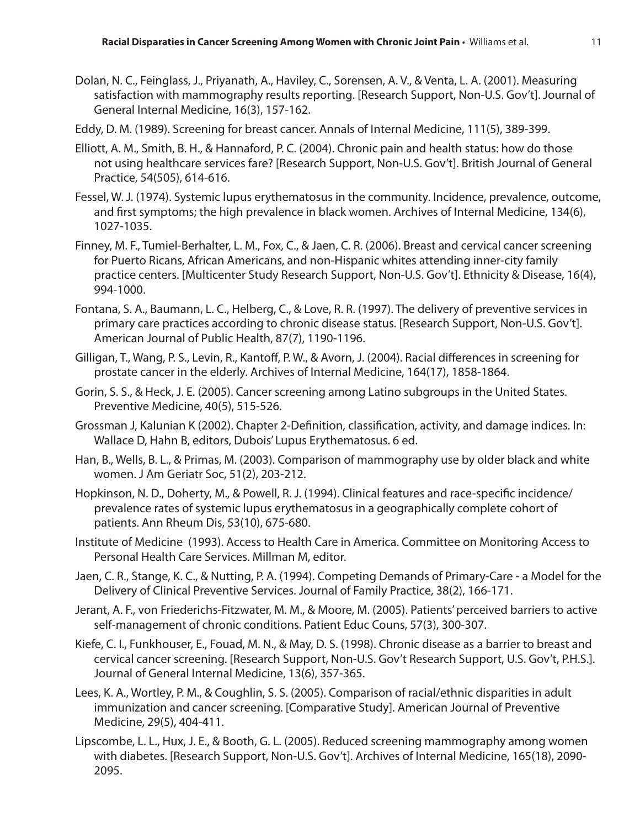- Dolan, N. C., Feinglass, J., Priyanath, A., Haviley, C., Sorensen, A. V., & Venta, L. A. (2001). Measuring satisfaction with mammography results reporting. [Research Support, Non-U.S. Gov't]. Journal of General Internal Medicine, 16(3), 157-162.
- Eddy, D. M. (1989). Screening for breast cancer. Annals of Internal Medicine, 111(5), 389-399.
- Elliott, A. M., Smith, B. H., & Hannaford, P. C. (2004). Chronic pain and health status: how do those not using healthcare services fare? [Research Support, Non-U.S. Gov't]. British Journal of General Practice, 54(505), 614-616.
- Fessel, W. J. (1974). Systemic lupus erythematosus in the community. Incidence, prevalence, outcome, and first symptoms; the high prevalence in black women. Archives of Internal Medicine, 134(6), 1027-1035.
- Finney, M. F., Tumiel-Berhalter, L. M., Fox, C., & Jaen, C. R. (2006). Breast and cervical cancer screening for Puerto Ricans, African Americans, and non-Hispanic whites attending inner-city family practice centers. [Multicenter Study Research Support, Non-U.S. Gov't]. Ethnicity & Disease, 16(4), 994-1000.
- Fontana, S. A., Baumann, L. C., Helberg, C., & Love, R. R. (1997). The delivery of preventive services in primary care practices according to chronic disease status. [Research Support, Non-U.S. Gov't]. American Journal of Public Health, 87(7), 1190-1196.
- Gilligan, T., Wang, P. S., Levin, R., Kantoff, P. W., & Avorn, J. (2004). Racial differences in screening for prostate cancer in the elderly. Archives of Internal Medicine, 164(17), 1858-1864.
- Gorin, S. S., & Heck, J. E. (2005). Cancer screening among Latino subgroups in the United States. Preventive Medicine, 40(5), 515-526.
- Grossman J, Kalunian K (2002). Chapter 2-Definition, classification, activity, and damage indices. In: Wallace D, Hahn B, editors, Dubois' Lupus Erythematosus. 6 ed.
- Han, B., Wells, B. L., & Primas, M. (2003). Comparison of mammography use by older black and white women. J Am Geriatr Soc, 51(2), 203-212.
- Hopkinson, N. D., Doherty, M., & Powell, R. J. (1994). Clinical features and race-specific incidence/ prevalence rates of systemic lupus erythematosus in a geographically complete cohort of patients. Ann Rheum Dis, 53(10), 675-680.
- Institute of Medicine (1993). Access to Health Care in America. Committee on Monitoring Access to Personal Health Care Services. Millman M, editor.
- Jaen, C. R., Stange, K. C., & Nutting, P. A. (1994). Competing Demands of Primary-Care a Model for the Delivery of Clinical Preventive Services. Journal of Family Practice, 38(2), 166-171.
- Jerant, A. F., von Friederichs-Fitzwater, M. M., & Moore, M. (2005). Patients' perceived barriers to active self-management of chronic conditions. Patient Educ Couns, 57(3), 300-307.
- Kiefe, C. I., Funkhouser, E., Fouad, M. N., & May, D. S. (1998). Chronic disease as a barrier to breast and cervical cancer screening. [Research Support, Non-U.S. Gov't Research Support, U.S. Gov't, P.H.S.]. Journal of General Internal Medicine, 13(6), 357-365.
- Lees, K. A., Wortley, P. M., & Coughlin, S. S. (2005). Comparison of racial/ethnic disparities in adult immunization and cancer screening. [Comparative Study]. American Journal of Preventive Medicine, 29(5), 404-411.
- Lipscombe, L. L., Hux, J. E., & Booth, G. L. (2005). Reduced screening mammography among women with diabetes. [Research Support, Non-U.S. Gov't]. Archives of Internal Medicine, 165(18), 2090- 2095.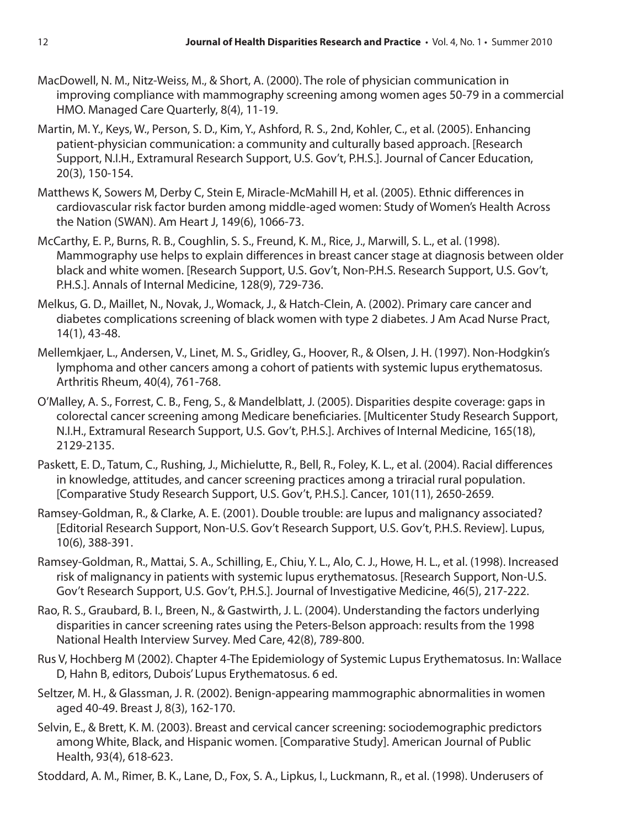- MacDowell, N. M., Nitz-Weiss, M., & Short, A. (2000). The role of physician communication in improving compliance with mammography screening among women ages 50-79 in a commercial HMO. Managed Care Quarterly, 8(4), 11-19.
- Martin, M. Y., Keys, W., Person, S. D., Kim, Y., Ashford, R. S., 2nd, Kohler, C., et al. (2005). Enhancing patient-physician communication: a community and culturally based approach. [Research Support, N.I.H., Extramural Research Support, U.S. Gov't, P.H.S.]. Journal of Cancer Education, 20(3), 150-154.
- Matthews K, Sowers M, Derby C, Stein E, Miracle-McMahill H, et al. (2005). Ethnic differences in cardiovascular risk factor burden among middle-aged women: Study of Women's Health Across the Nation (SWAN). Am Heart J, 149(6), 1066-73.
- McCarthy, E. P., Burns, R. B., Coughlin, S. S., Freund, K. M., Rice, J., Marwill, S. L., et al. (1998). Mammography use helps to explain differences in breast cancer stage at diagnosis between older black and white women. [Research Support, U.S. Gov't, Non-P.H.S. Research Support, U.S. Gov't, P.H.S.]. Annals of Internal Medicine, 128(9), 729-736.
- Melkus, G. D., Maillet, N., Novak, J., Womack, J., & Hatch-Clein, A. (2002). Primary care cancer and diabetes complications screening of black women with type 2 diabetes. J Am Acad Nurse Pract, 14(1), 43-48.
- Mellemkjaer, L., Andersen, V., Linet, M. S., Gridley, G., Hoover, R., & Olsen, J. H. (1997). Non-Hodgkin's lymphoma and other cancers among a cohort of patients with systemic lupus erythematosus. Arthritis Rheum, 40(4), 761-768.
- O'Malley, A. S., Forrest, C. B., Feng, S., & Mandelblatt, J. (2005). Disparities despite coverage: gaps in colorectal cancer screening among Medicare beneficiaries. [Multicenter Study Research Support, N.I.H., Extramural Research Support, U.S. Gov't, P.H.S.]. Archives of Internal Medicine, 165(18), 2129-2135.
- Paskett, E. D., Tatum, C., Rushing, J., Michielutte, R., Bell, R., Foley, K. L., et al. (2004). Racial differences in knowledge, attitudes, and cancer screening practices among a triracial rural population. [Comparative Study Research Support, U.S. Gov't, P.H.S.]. Cancer, 101(11), 2650-2659.
- Ramsey-Goldman, R., & Clarke, A. E. (2001). Double trouble: are lupus and malignancy associated? [Editorial Research Support, Non-U.S. Gov't Research Support, U.S. Gov't, P.H.S. Review]. Lupus, 10(6), 388-391.
- Ramsey-Goldman, R., Mattai, S. A., Schilling, E., Chiu, Y. L., Alo, C. J., Howe, H. L., et al. (1998). Increased risk of malignancy in patients with systemic lupus erythematosus. [Research Support, Non-U.S. Gov't Research Support, U.S. Gov't, P.H.S.]. Journal of Investigative Medicine, 46(5), 217-222.
- Rao, R. S., Graubard, B. I., Breen, N., & Gastwirth, J. L. (2004). Understanding the factors underlying disparities in cancer screening rates using the Peters-Belson approach: results from the 1998 National Health Interview Survey. Med Care, 42(8), 789-800.
- Rus V, Hochberg M (2002). Chapter 4-The Epidemiology of Systemic Lupus Erythematosus. In: Wallace D, Hahn B, editors, Dubois' Lupus Erythematosus. 6 ed.
- Seltzer, M. H., & Glassman, J. R. (2002). Benign-appearing mammographic abnormalities in women aged 40-49. Breast J, 8(3), 162-170.
- Selvin, E., & Brett, K. M. (2003). Breast and cervical cancer screening: sociodemographic predictors among White, Black, and Hispanic women. [Comparative Study]. American Journal of Public Health, 93(4), 618-623.

Stoddard, A. M., Rimer, B. K., Lane, D., Fox, S. A., Lipkus, I., Luckmann, R., et al. (1998). Underusers of